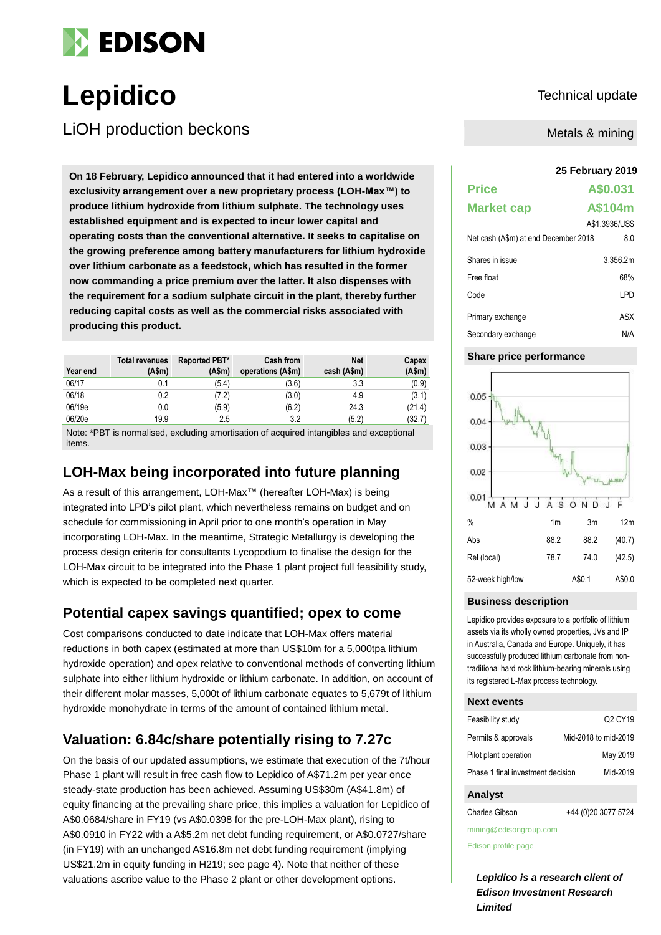

# Lepidico Technical update

LiOH production beckons

**25 February 2019 On 18 February, Lepidico announced that it had entered into a worldwide exclusivity arrangement over a new proprietary process (LOH-Max™) to produce lithium hydroxide from lithium sulphate. The technology uses established equipment and is expected to incur lower capital and operating costs than the conventional alternative. It seeks to capitalise on the growing preference among battery manufacturers for lithium hydroxide over lithium carbonate as a feedstock, which has resulted in the former now commanding a price premium over the latter. It also dispenses with the requirement for a sodium sulphate circuit in the plant, thereby further reducing capital costs as well as the commercial risks associated with producing this product.**

| Year end | <b>Total revenues</b><br>(Asm) | Reported PBT*<br>(A\$m) | <b>Cash from</b><br>operations (A\$m) | Net<br>cash (A\$m) | Capex<br>(A\$m) |
|----------|--------------------------------|-------------------------|---------------------------------------|--------------------|-----------------|
| 06/17    | 0.1                            | (5.4)                   | (3.6)                                 | 3.3                | (0.9)           |
| 06/18    | 0.2                            | (7.2)                   | (3.0)                                 | 4.9                | (3.1)           |
| 06/19e   | 0.0                            | (5.9)                   | (6.2)                                 | 24.3               | (21.4)          |
| 06/20e   | 19.9                           | 2.5                     | 3.2                                   | (5.2)              | (32.7)          |

Note: \*PBT is normalised, excluding amortisation of acquired intangibles and exceptional items.

## **LOH-Max being incorporated into future planning**

As a result of this arrangement, LOH-Max™ (hereafter LOH-Max) is being integrated into LPD's pilot plant, which nevertheless remains on budget and on schedule for commissioning in April prior to one month's operation in May incorporating LOH-Max. In the meantime, Strategic Metallurgy is developing the process design criteria for consultants Lycopodium to finalise the design for the LOH-Max circuit to be integrated into the Phase 1 plant project full feasibility study, which is expected to be completed next quarter.

### **Potential capex savings quantified; opex to come**

Cost comparisons conducted to date indicate that LOH-Max offers material reductions in both capex (estimated at more than US\$10m for a 5,000tpa lithium hydroxide operation) and opex relative to conventional methods of converting lithium sulphate into either lithium hydroxide or lithium carbonate. In addition, on account of their different molar masses, 5,000t of lithium carbonate equates to 5,679t of lithium hydroxide monohydrate in terms of the amount of contained lithium metal.

## **Valuation: 6.84c/share potentially rising to 7.27c**

On the basis of our updated assumptions, we estimate that execution of the 7t/hour Phase 1 plant will result in free cash flow to Lepidico of A\$71.2m per year once steady-state production has been achieved. Assuming US\$30m (A\$41.8m) of equity financing at the prevailing share price, this implies a valuation for Lepidico of A\$0.0684/share in FY19 (vs A\$0.0398 for the pre-LOH-Max plant), rising to A\$0.0910 in FY22 with a A\$5.2m net debt funding requirement, or A\$0.0727/share (in FY19) with an unchanged A\$16.8m net debt funding requirement (implying US\$21.2m in equity funding in H219; see page 4). Note that neither of these valuations ascribe value to the Phase 2 plant or other development options.

Metals & mining

| <b>Price</b>                         | A\$0.031       |
|--------------------------------------|----------------|
| <b>Market cap</b>                    | A\$104m        |
|                                      | A\$1.3936/US\$ |
| Net cash (A\$m) at end December 2018 | 8.0            |
| Shares in issue                      | 3.356.2m       |
| Free float                           | 68%            |
| Code                                 | LPD            |
| Primary exchange                     | ASX            |
| Secondary exchange                   | N/A            |

### **Share price performance**



### **Business description**

Lepidico provides exposure to a portfolio of lithium assets via its wholly owned properties, JVs and IP in Australia, Canada and Europe. Uniquely, it has successfully produced lithium carbonate from nontraditional hard rock lithium-bearing minerals using its registered L-Max process technology.

### **Next events**

| Feasibility study                 | Q <sub>2</sub> CY <sub>19</sub> |
|-----------------------------------|---------------------------------|
| Permits & approvals               | Mid-2018 to mid-2019            |
| Pilot plant operation             | May 2019                        |
| Phase 1 final investment decision | Mid-2019                        |

### **Analyst**

Charles Gibson +44 (0)20 3077 5724

mining@edisongroup.com

[Edison profile page](https://www.edisoninvestmentresearch.com/research/company/lepidico)

*Lepidico is a research client of Edison Investment Research Limited*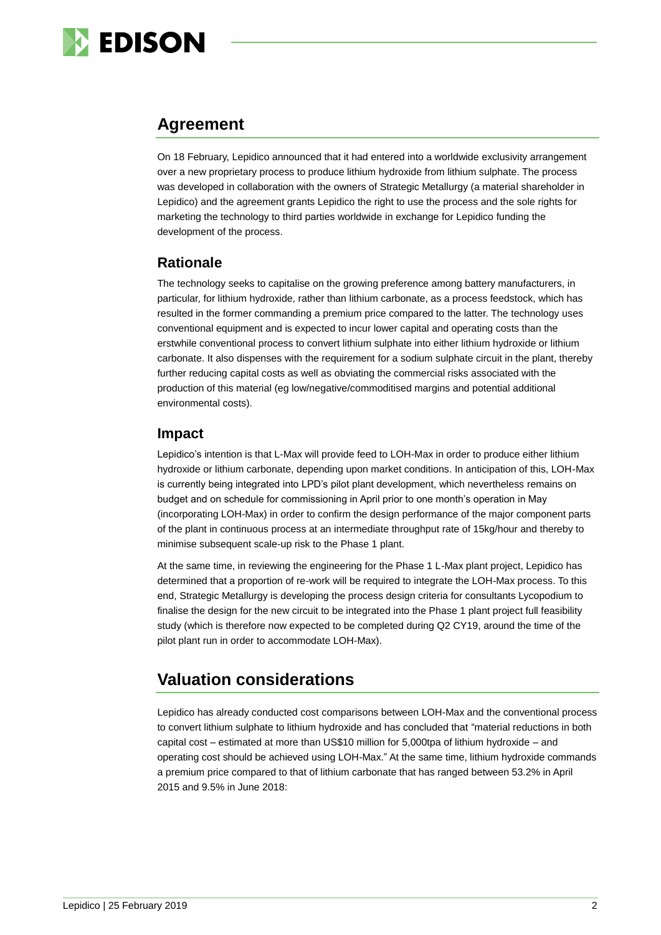

### **Agreement**

On 18 February, Lepidico announced that it had entered into a worldwide exclusivity arrangement over a new proprietary process to produce lithium hydroxide from lithium sulphate. The process was developed in collaboration with the owners of Strategic Metallurgy (a material shareholder in Lepidico) and the agreement grants Lepidico the right to use the process and the sole rights for marketing the technology to third parties worldwide in exchange for Lepidico funding the development of the process.

### **Rationale**

The technology seeks to capitalise on the growing preference among battery manufacturers, in particular, for lithium hydroxide, rather than lithium carbonate, as a process feedstock, which has resulted in the former commanding a premium price compared to the latter. The technology uses conventional equipment and is expected to incur lower capital and operating costs than the erstwhile conventional process to convert lithium sulphate into either lithium hydroxide or lithium carbonate. It also dispenses with the requirement for a sodium sulphate circuit in the plant, thereby further reducing capital costs as well as obviating the commercial risks associated with the production of this material (eg low/negative/commoditised margins and potential additional environmental costs).

### **Impact**

Lepidico's intention is that L-Max will provide feed to LOH-Max in order to produce either lithium hydroxide or lithium carbonate, depending upon market conditions. In anticipation of this, LOH-Max is currently being integrated into LPD's pilot plant development, which nevertheless remains on budget and on schedule for commissioning in April prior to one month's operation in May (incorporating LOH-Max) in order to confirm the design performance of the major component parts of the plant in continuous process at an intermediate throughput rate of 15kg/hour and thereby to minimise subsequent scale-up risk to the Phase 1 plant.

At the same time, in reviewing the engineering for the Phase 1 L-Max plant project, Lepidico has determined that a proportion of re-work will be required to integrate the LOH-Max process. To this end, Strategic Metallurgy is developing the process design criteria for consultants Lycopodium to finalise the design for the new circuit to be integrated into the Phase 1 plant project full feasibility study (which is therefore now expected to be completed during Q2 CY19, around the time of the pilot plant run in order to accommodate LOH-Max).

## **Valuation considerations**

Lepidico has already conducted cost comparisons between LOH-Max and the conventional process to convert lithium sulphate to lithium hydroxide and has concluded that "material reductions in both capital cost – estimated at more than US\$10 million for 5,000tpa of lithium hydroxide – and operating cost should be achieved using LOH-Max." At the same time, lithium hydroxide commands a premium price compared to that of lithium carbonate that has ranged between 53.2% in April 2015 and 9.5% in June 2018: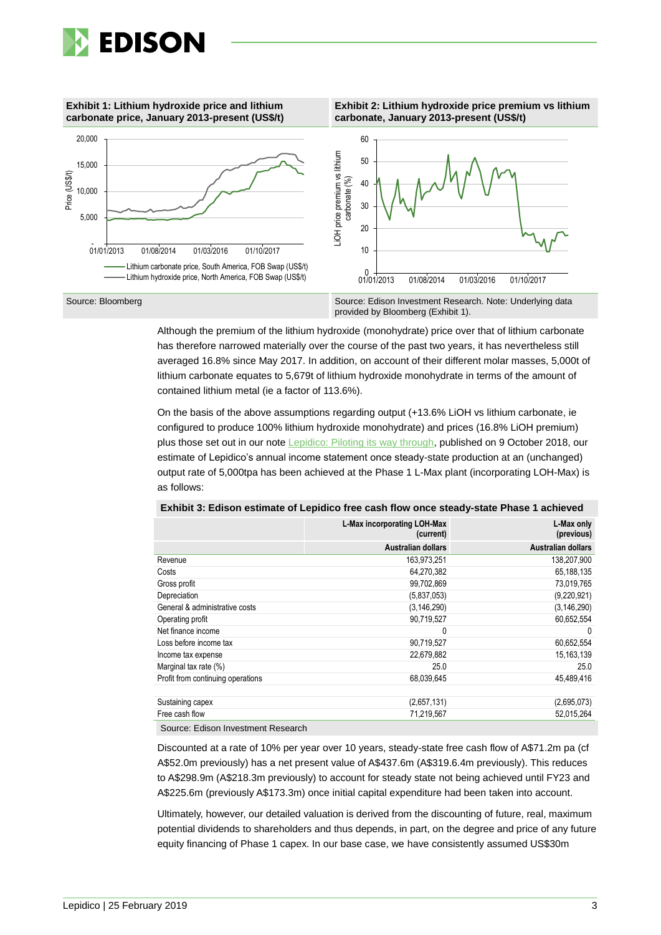

### **Exhibit 1: Lithium hydroxide price and lithium carbonate price, January 2013-present (US\$/t)**





Although the premium of the lithium hydroxide (monohydrate) price over that of lithium carbonate has therefore narrowed materially over the course of the past two years, it has nevertheless still averaged 16.8% since May 2017. In addition, on account of their different molar masses, 5,000t of lithium carbonate equates to 5,679t of lithium hydroxide monohydrate in terms of the amount of contained lithium metal (ie a factor of 113.6%).

On the basis of the above assumptions regarding output (+13.6% LiOH vs lithium carbonate, ie configured to produce 100% lithium hydroxide monohydrate) and prices (16.8% LiOH premium) plus those set out in our note [Lepidico: Piloting its way through,](https://www.edisoninvestmentresearch.com/research/report/lepidico1/preview/) published on 9 October 2018, our estimate of Lepidico's annual income statement once steady-state production at an (unchanged) output rate of 5,000tpa has been achieved at the Phase 1 L-Max plant (incorporating LOH-Max) is as follows:

|                                    | L-Max incorporating LOH-Max<br>(current) | L-Max only<br>(previous)  |
|------------------------------------|------------------------------------------|---------------------------|
|                                    | <b>Australian dollars</b>                | <b>Australian dollars</b> |
| Revenue                            | 163,973,251                              | 138,207,900               |
| Costs                              | 64,270,382                               | 65,188,135                |
| Gross profit                       | 99,702,869                               | 73,019,765                |
| Depreciation                       | (5,837,053)                              | (9,220,921)               |
| General & administrative costs     | (3, 146, 290)                            | (3, 146, 290)             |
| Operating profit                   | 90,719,527                               | 60,652,554                |
| Net finance income                 | 0                                        | 0                         |
| Loss before income tax             | 90,719,527                               | 60,652,554                |
| Income tax expense                 | 22,679,882                               | 15,163,139                |
| Marginal tax rate (%)              | 25.0                                     | 25.0                      |
| Profit from continuing operations  | 68,039,645                               | 45,489,416                |
|                                    |                                          |                           |
| Sustaining capex                   | (2,657,131)                              | (2,695,073)               |
| Free cash flow                     | 71,219,567                               | 52,015,264                |
| Source: Edicon Investment Research |                                          |                           |

**Exhibit 3: Edison estimate of Lepidico free cash flow once steady-state Phase 1 achieved**

Source: Edison Investment Research

Discounted at a rate of 10% per year over 10 years, steady-state free cash flow of A\$71.2m pa (cf A\$52.0m previously) has a net present value of A\$437.6m (A\$319.6.4m previously). This reduces to A\$298.9m (A\$218.3m previously) to account for steady state not being achieved until FY23 and A\$225.6m (previously A\$173.3m) once initial capital expenditure had been taken into account.

Ultimately, however, our detailed valuation is derived from the discounting of future, real, maximum potential dividends to shareholders and thus depends, in part, on the degree and price of any future equity financing of Phase 1 capex. In our base case, we have consistently assumed US\$30m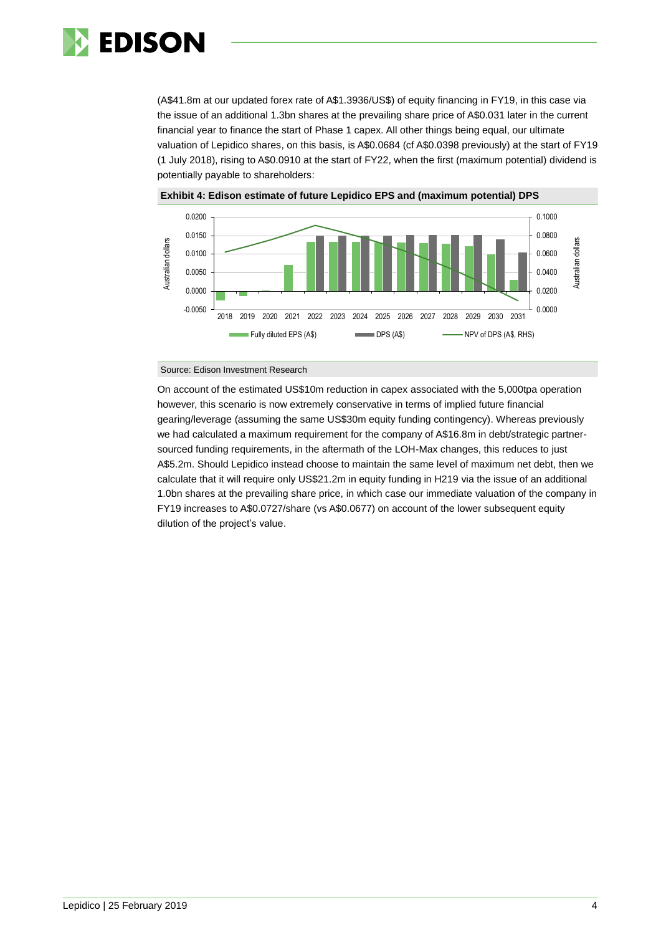

(A\$41.8m at our updated forex rate of A\$1.3936/US\$) of equity financing in FY19, in this case via the issue of an additional 1.3bn shares at the prevailing share price of A\$0.031 later in the current financial year to finance the start of Phase 1 capex. All other things being equal, our ultimate valuation of Lepidico shares, on this basis, is A\$0.0684 (cf A\$0.0398 previously) at the start of FY19 (1 July 2018), rising to A\$0.0910 at the start of FY22, when the first (maximum potential) dividend is potentially payable to shareholders:





### Source: Edison Investment Research

On account of the estimated US\$10m reduction in capex associated with the 5,000tpa operation however, this scenario is now extremely conservative in terms of implied future financial gearing/leverage (assuming the same US\$30m equity funding contingency). Whereas previously we had calculated a maximum requirement for the company of A\$16.8m in debt/strategic partnersourced funding requirements, in the aftermath of the LOH-Max changes, this reduces to just A\$5.2m. Should Lepidico instead choose to maintain the same level of maximum net debt, then we calculate that it will require only US\$21.2m in equity funding in H219 via the issue of an additional 1.0bn shares at the prevailing share price, in which case our immediate valuation of the company in FY19 increases to A\$0.0727/share (vs A\$0.0677) on account of the lower subsequent equity dilution of the project's value.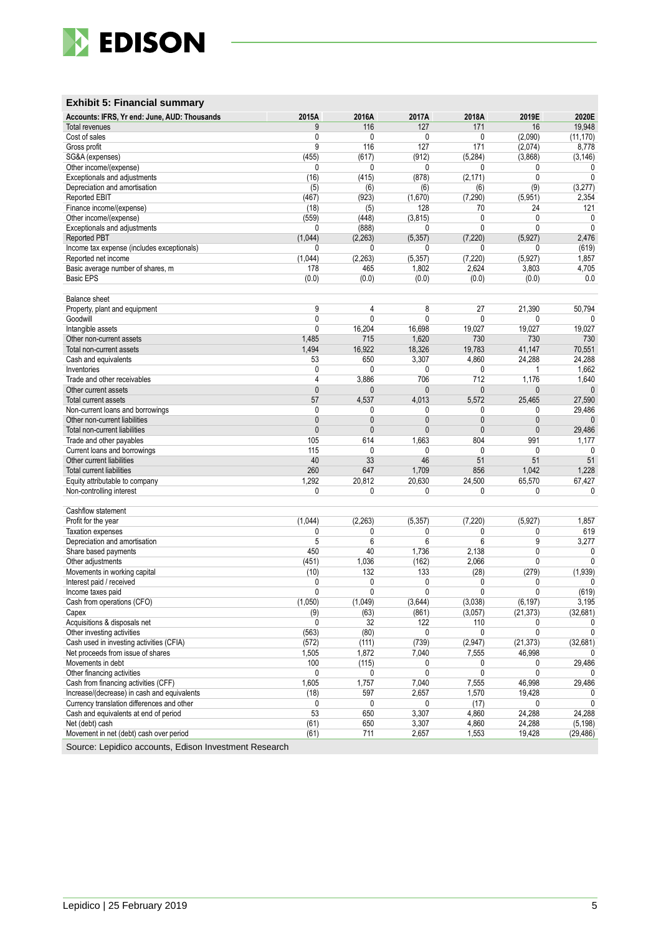

### **Exhibit 5: Financial summary**

| Accounts: IFRS, Yr end: June, AUD: Thousands | 2015A        | 2016A        | 2017A        | 2018A         | 2019E        | 2020E        |
|----------------------------------------------|--------------|--------------|--------------|---------------|--------------|--------------|
| <b>Total revenues</b>                        | 9            | 116          | 127          | 171           | 16           | 19,948       |
| Cost of sales                                | 0            | 0            | $\mathbf{0}$ | 0             | (2,090)      | (11, 170)    |
| Gross profit                                 | 9            | 116          | 127          | 171           | (2,074)      | 8,778        |
| SG&A (expenses)                              | (455)        | (617)        | (912)        | (5, 284)      | (3,868)      | (3, 146)     |
| Other income/(expense)                       | 0            | 0            | 0            | 0             | 0            | 0            |
| Exceptionals and adjustments                 | (16)         | (415)        | (878)        | (2, 171)      | 0            | $\mathbf{0}$ |
| Depreciation and amortisation                | (5)          | (6)          | (6)          | (6)           | (9)          | (3,277)      |
| Reported EBIT                                | (467)        | (923)        | (1,670)      | (7, 290)      | (5,951)      | 2,354        |
| Finance income/(expense)                     | (18)         | (5)          | 128          | 70            | 24           | 121          |
| Other income/(expense)                       | (559)        | (448)        | (3, 815)     | 0             | $\mathbf{0}$ | 0            |
| Exceptionals and adjustments                 | 0            | (888)        | 0            | $\mathbf{0}$  | $\mathbf{0}$ | $\Omega$     |
| Reported PBT                                 | (1,044)      | (2, 263)     | (5, 357)     | (7.220)       | (5,927)      | 2,476        |
| Income tax expense (includes exceptionals)   | 0            | 0            | 0            | 0             | 0            | (619)        |
| Reported net income                          | (1,044)      | (2, 263)     | (5, 357)     | (7, 220)      | (5,927)      | 1,857        |
| Basic average number of shares, m            | 178          | 465          | 1,802        | 2,624         | 3,803        | 4,705        |
| <b>Basic EPS</b>                             | (0.0)        | (0.0)        | (0.0)        | (0.0)         | (0.0)        | 0.0          |
|                                              |              |              |              |               |              |              |
| <b>Balance sheet</b>                         |              |              |              |               |              |              |
| Property, plant and equipment                | 9            | 4            | 8            | 27            | 21,390       | 50,794       |
| Goodwill                                     | 0            | $\mathbf{0}$ | 0            | $\mathbf{0}$  | 0            | $\mathbf{0}$ |
| Intangible assets                            | 0            | 16,204       | 16,698       | 19.027        | 19,027       | 19,027       |
| Other non-current assets                     | 1,485        | 715          | 1,620        | 730           | 730          | 730          |
| Total non-current assets                     | 1,494        | 16,922       | 18,326       | 19,783        | 41,147       | 70,551       |
| Cash and equivalents                         | 53           | 650          | 3,307        | 4,860         | 24,288       | 24,288       |
| Inventories                                  | 0            | 0            | $\mathbf{0}$ | $\mathbf{0}$  | 1            | 1,662        |
| Trade and other receivables                  | 4            | 3,886        | 706          | 712           | 1,176        | 1,640        |
| Other current assets                         | 0            | 0            | $\mathbf{0}$ | $\mathbf{0}$  | $\mathbf{0}$ | $\mathbf{0}$ |
| Total current assets                         | 57           | 4,537        | 4,013        | 5,572         | 25,465       | 27,590       |
| Non-current loans and borrowings             | 0            | 0            | 0            | 0             | 0            | 29,486       |
| Other non-current liabilities                | $\mathbf{0}$ | $\mathbf{0}$ | $\mathbf{0}$ | $\mathbf{0}$  | $\mathbf{0}$ | $\mathbf{0}$ |
| Total non-current liabilities                | $\mathbf{0}$ | $\mathbf{0}$ | $\mathbf{0}$ | $\mathbf{0}$  | $\mathbf{0}$ | 29,486       |
|                                              | 105          | 614          | 1,663        | 804           | 991          | 1,177        |
| Trade and other payables                     | 115          | 0            | $\mathbf{0}$ | $\mathbf{0}$  | 0            | $\mathbf{0}$ |
| Current loans and borrowings                 |              | 33           | 46           |               | 51           |              |
| Other current liabilities                    | 40<br>260    |              |              | 51            |              | 51           |
| <b>Total current liabilities</b>             |              | 647          | 1,709        | 856           | 1,042        | 1,228        |
| Equity attributable to company               | 1,292        | 20,812       | 20,630       | 24,500        | 65,570       | 67,427<br>0  |
| Non-controlling interest                     | 0            | 0            | 0            | 0             | 0            |              |
| Cashflow statement                           |              |              |              |               |              |              |
| Profit for the year                          | (1,044)      | (2, 263)     | (5, 357)     | (7, 220)      | (5,927)      | 1,857        |
| <b>Taxation expenses</b>                     | 0            | 0            | 0            | 0             | 0            | 619          |
| Depreciation and amortisation                | 5            | 6            | 6            | 6             | 9            | 3,277        |
| Share based payments                         | 450          | 40           | 1,736        | 2,138         | $\mathbf 0$  | 0            |
| Other adjustments                            | (451)        | 1,036        | (162)        | 2,066         | 0            | $\mathbf{0}$ |
| Movements in working capital                 | (10)         | 132          | 133          | (28)          | (279)        | (1,939)      |
| Interest paid / received                     | 0            | 0            | $\mathbf{0}$ | 0             | 0            | 0            |
| Income taxes paid                            | 0            | 0            | 0            | 0             | 0            | (619)        |
| Cash from operations (CFO)                   | (1.050)      | (1,049)      | (3,644)      | (3,038)       | (6, 197)     | 3,195        |
| Capex                                        | (9)          | (63)         | (861)        | (3,057)       | (21, 373)    | (32, 681)    |
| Acquisitions & disposals net                 | 0            | 32           | 122          | 110           | 0            | $\mathbf{0}$ |
| Other investing activities                   | (563)        | (80)         | 0            | 0             | $\mathbf 0$  | $\Omega$     |
| Cash used in investing activities (CFIA)     | (572)        | (111)        | (739)        | (2, 947)      | (21, 373)    | (32, 681)    |
| Net proceeds from issue of shares            | 1,505        | 1,872        | 7,040        | 7,555         | 46,998       | 0            |
| Movements in debt                            | 100          | (115)        | 0            | 0             | 0            | 29,486       |
| Other financing activities                   | 0            | 0            | 0            | 0             | $\mathbf 0$  | 0            |
| Cash from financing activities (CFF)         | 1,605        | 1,757        | 7,040        | 7,555         | 46,998       | 29,486       |
| Increase/(decrease) in cash and equivalents  | (18)         | 597          | 2,657        | 1,570         | 19,428       | 0            |
| Currency translation differences and other   | 0            | 0            | 0            |               | 0            | $\mathbf{0}$ |
|                                              | 53           | 650          | 3,307        | (17)<br>4,860 |              | 24,288       |
| Cash and equivalents at end of period        |              |              |              |               | 24,288       |              |
| Net (debt) cash                              | (61)         | 650          | 3,307        | 4,860         | 24,288       | (5, 198)     |
| Movement in net (debt) cash over period      | (61)         | 711          | 2,657        | 1,553         | 19,428       | (29, 486)    |

Source: Lepidico accounts, Edison Investment Research